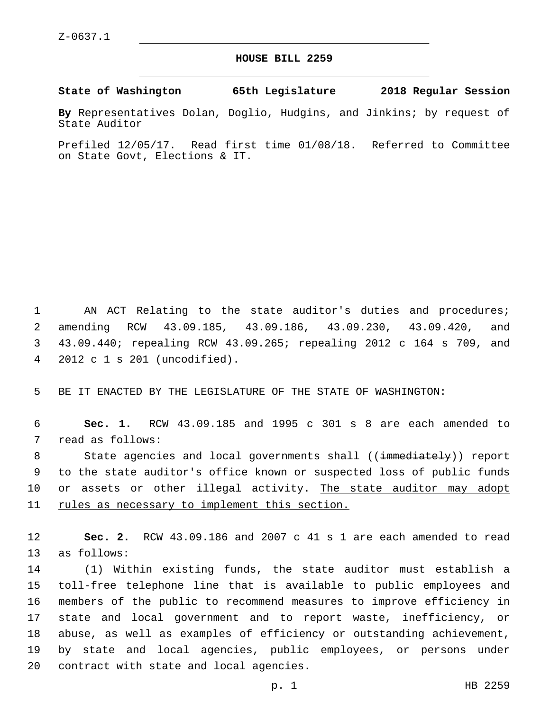## **HOUSE BILL 2259**

**State of Washington 65th Legislature 2018 Regular Session**

**By** Representatives Dolan, Doglio, Hudgins, and Jinkins; by request of State Auditor

Prefiled 12/05/17. Read first time 01/08/18. Referred to Committee on State Govt, Elections & IT.

1 AN ACT Relating to the state auditor's duties and procedures; 2 amending RCW 43.09.185, 43.09.186, 43.09.230, 43.09.420, and 3 43.09.440; repealing RCW 43.09.265; repealing 2012 c 164 s 709, and 2012 c 1 s 201 (uncodified).4

5 BE IT ENACTED BY THE LEGISLATURE OF THE STATE OF WASHINGTON:

6 **Sec. 1.** RCW 43.09.185 and 1995 c 301 s 8 are each amended to 7 read as follows:

8 State agencies and local governments shall ((immediately)) report 9 to the state auditor's office known or suspected loss of public funds 10 or assets or other illegal activity. The state auditor may adopt 11 rules as necessary to implement this section.

12 **Sec. 2.** RCW 43.09.186 and 2007 c 41 s 1 are each amended to read 13 as follows:

 (1) Within existing funds, the state auditor must establish a toll-free telephone line that is available to public employees and members of the public to recommend measures to improve efficiency in state and local government and to report waste, inefficiency, or abuse, as well as examples of efficiency or outstanding achievement, by state and local agencies, public employees, or persons under 20 contract with state and local agencies.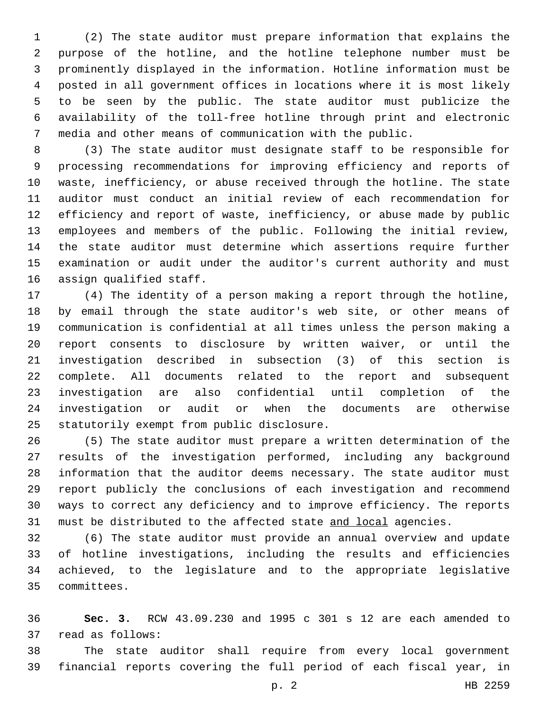(2) The state auditor must prepare information that explains the purpose of the hotline, and the hotline telephone number must be prominently displayed in the information. Hotline information must be posted in all government offices in locations where it is most likely to be seen by the public. The state auditor must publicize the availability of the toll-free hotline through print and electronic media and other means of communication with the public.

 (3) The state auditor must designate staff to be responsible for processing recommendations for improving efficiency and reports of waste, inefficiency, or abuse received through the hotline. The state auditor must conduct an initial review of each recommendation for efficiency and report of waste, inefficiency, or abuse made by public employees and members of the public. Following the initial review, the state auditor must determine which assertions require further examination or audit under the auditor's current authority and must 16 assign qualified staff.

 (4) The identity of a person making a report through the hotline, by email through the state auditor's web site, or other means of communication is confidential at all times unless the person making a report consents to disclosure by written waiver, or until the investigation described in subsection (3) of this section is complete. All documents related to the report and subsequent investigation are also confidential until completion of the investigation or audit or when the documents are otherwise 25 statutorily exempt from public disclosure.

 (5) The state auditor must prepare a written determination of the results of the investigation performed, including any background information that the auditor deems necessary. The state auditor must report publicly the conclusions of each investigation and recommend ways to correct any deficiency and to improve efficiency. The reports 31 must be distributed to the affected state and local agencies.

 (6) The state auditor must provide an annual overview and update of hotline investigations, including the results and efficiencies achieved, to the legislature and to the appropriate legislative committees.35

 **Sec. 3.** RCW 43.09.230 and 1995 c 301 s 12 are each amended to 37 read as follows:

 The state auditor shall require from every local government financial reports covering the full period of each fiscal year, in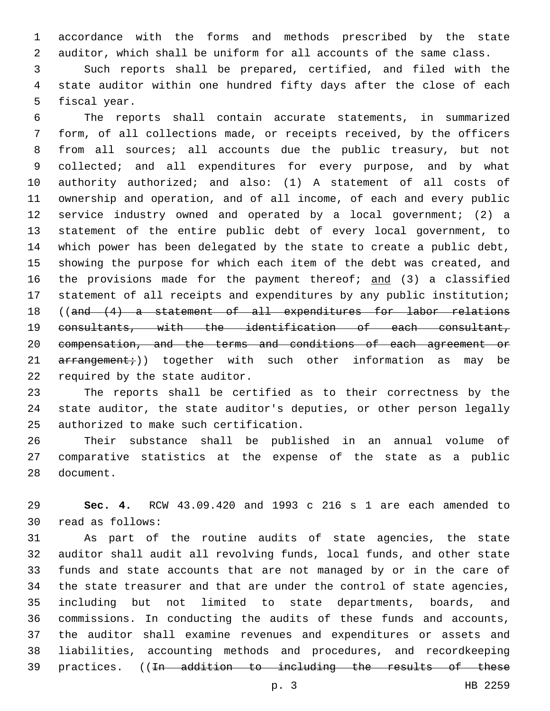accordance with the forms and methods prescribed by the state auditor, which shall be uniform for all accounts of the same class.

 Such reports shall be prepared, certified, and filed with the state auditor within one hundred fifty days after the close of each 5 fiscal year.

 The reports shall contain accurate statements, in summarized form, of all collections made, or receipts received, by the officers from all sources; all accounts due the public treasury, but not 9 collected; and all expenditures for every purpose, and by what authority authorized; and also: (1) A statement of all costs of ownership and operation, and of all income, of each and every public service industry owned and operated by a local government; (2) a statement of the entire public debt of every local government, to which power has been delegated by the state to create a public debt, showing the purpose for which each item of the debt was created, and 16 the provisions made for the payment thereof; and (3) a classified statement of all receipts and expenditures by any public institution; ((and (4) a statement of all expenditures for labor relations consultants, with the identification of each consultant, compensation, and the terms and conditions of each agreement or  $\ar{r}$  arrangement;)) together with such other information as may be 22 required by the state auditor.

 The reports shall be certified as to their correctness by the state auditor, the state auditor's deputies, or other person legally 25 authorized to make such certification.

 Their substance shall be published in an annual volume of comparative statistics at the expense of the state as a public 28 document.

 **Sec. 4.** RCW 43.09.420 and 1993 c 216 s 1 are each amended to read as follows:30

 As part of the routine audits of state agencies, the state auditor shall audit all revolving funds, local funds, and other state funds and state accounts that are not managed by or in the care of the state treasurer and that are under the control of state agencies, including but not limited to state departments, boards, and commissions. In conducting the audits of these funds and accounts, the auditor shall examine revenues and expenditures or assets and liabilities, accounting methods and procedures, and recordkeeping practices. ((In addition to including the results of these

p. 3 HB 2259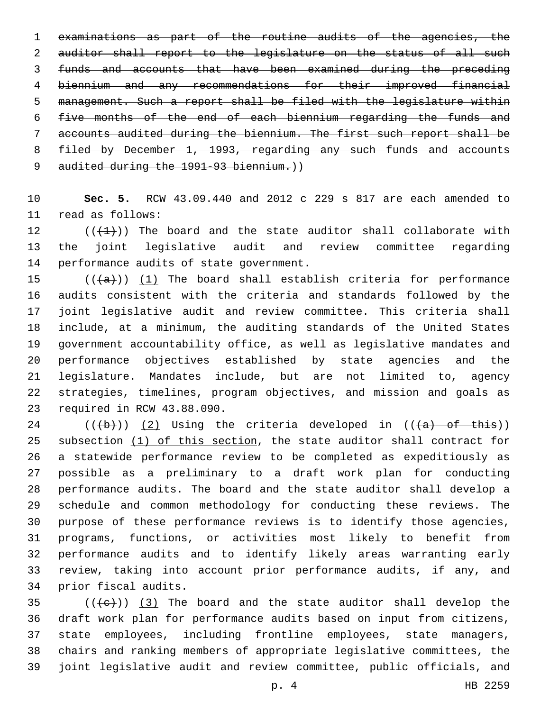examinations as part of the routine audits of the agencies, the 2 auditor shall report to the legislature on the status of all such funds and accounts that have been examined during the preceding biennium and any recommendations for their improved financial management. Such a report shall be filed with the legislature within five months of the end of each biennium regarding the funds and accounts audited during the biennium. The first such report shall be filed by December 1, 1993, regarding any such funds and accounts 9 audited during the 1991-93 biennium.))

 **Sec. 5.** RCW 43.09.440 and 2012 c 229 s 817 are each amended to 11 read as follows:

12  $((+1))$  The board and the state auditor shall collaborate with the joint legislative audit and review committee regarding 14 performance audits of state government.

 $((+a))$   $(1)$  The board shall establish criteria for performance audits consistent with the criteria and standards followed by the joint legislative audit and review committee. This criteria shall include, at a minimum, the auditing standards of the United States government accountability office, as well as legislative mandates and performance objectives established by state agencies and the legislature. Mandates include, but are not limited to, agency strategies, timelines, program objectives, and mission and goals as 23 required in RCW 43.88.090.

24 ( $(\overline{a})$ ) (2) Using the criteria developed in ( $(\overline{a})$  of this)) subsection (1) of this section, the state auditor shall contract for a statewide performance review to be completed as expeditiously as possible as a preliminary to a draft work plan for conducting performance audits. The board and the state auditor shall develop a schedule and common methodology for conducting these reviews. The purpose of these performance reviews is to identify those agencies, programs, functions, or activities most likely to benefit from performance audits and to identify likely areas warranting early review, taking into account prior performance audits, if any, and 34 prior fiscal audits.

 (( $\left(\frac{1}{1}e\right)$ ) (3) The board and the state auditor shall develop the draft work plan for performance audits based on input from citizens, state employees, including frontline employees, state managers, chairs and ranking members of appropriate legislative committees, the joint legislative audit and review committee, public officials, and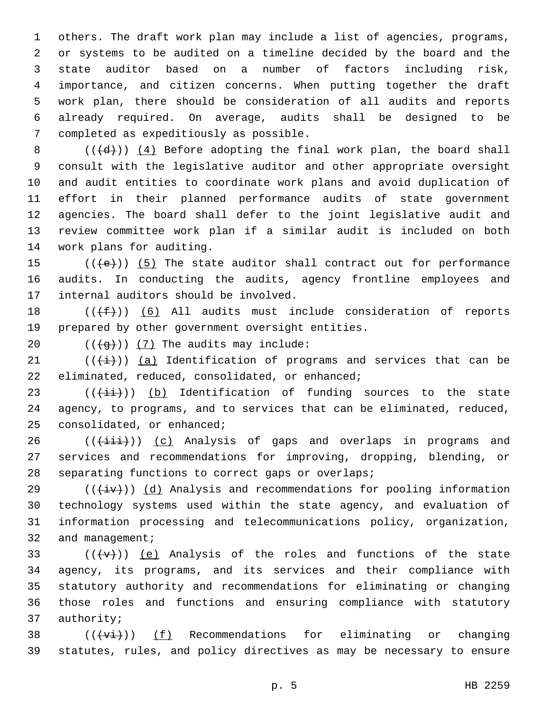others. The draft work plan may include a list of agencies, programs, or systems to be audited on a timeline decided by the board and the state auditor based on a number of factors including risk, importance, and citizen concerns. When putting together the draft work plan, there should be consideration of all audits and reports already required. On average, audits shall be designed to be 7 completed as expeditiously as possible.

 $((+d))$   $(4)$  Before adopting the final work plan, the board shall consult with the legislative auditor and other appropriate oversight and audit entities to coordinate work plans and avoid duplication of effort in their planned performance audits of state government agencies. The board shall defer to the joint legislative audit and review committee work plan if a similar audit is included on both 14 work plans for auditing.

15  $((+e))$   $(5)$  The state auditor shall contract out for performance 16 audits. In conducting the audits, agency frontline employees and 17 internal auditors should be involved.

18  $((\text{+f}))(6)$  All audits must include consideration of reports 19 prepared by other government oversight entities.

20  $((\overline{g}))$   $(7)$  The audits may include:

 $(1)$  (( $\frac{1}{1})$ ) (a) Identification of programs and services that can be 22 eliminated, reduced, consolidated, or enhanced;

 $23$  (( $(i+i)$ ) (b) Identification of funding sources to the state 24 agency, to programs, and to services that can be eliminated, reduced, 25 consolidated, or enhanced;

 $26$  (( $(i\text{iii})$ )) (c) Analysis of gaps and overlaps in programs and 27 services and recommendations for improving, dropping, blending, or 28 separating functions to correct gaps or overlaps;

29 ( $(\overline{4}\overline{v})$ ) (d) Analysis and recommendations for pooling information 30 technology systems used within the state agency, and evaluation of 31 information processing and telecommunications policy, organization, 32 and management;

 $((+\nabla)^2)(e)$  Analysis of the roles and functions of the state agency, its programs, and its services and their compliance with statutory authority and recommendations for eliminating or changing those roles and functions and ensuring compliance with statutory 37 authority;

38  $((+v\text{i}+))$  (f) Recommendations for eliminating or changing 39 statutes, rules, and policy directives as may be necessary to ensure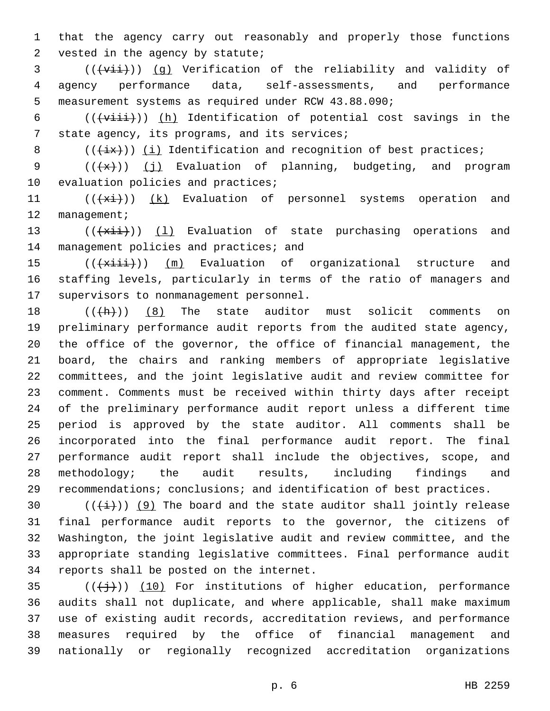1 that the agency carry out reasonably and properly those functions 2 vested in the agency by statute;

3 (((vii)) (g) Verification of the reliability and validity of 4 agency performance data, self-assessments, and performance 5 measurement systems as required under RCW 43.88.090;

6  $((\overline{\text{within}}))$  (h) Identification of potential cost savings in the 7 state agency, its programs, and its services;

8  $((+ix))$  (i) Identification and recognition of best practices;

9  $((+x))$  (j) Evaluation of planning, budgeting, and program 10 evaluation policies and practices;

11 (((+xi)) (k) Evaluation of personnel systems operation and 12 management;

13  $((+x\text{iii}))$  (1) Evaluation of state purchasing operations and 14 management policies and practices; and

15 (( $\frac{1}{15}$  (( $\frac{1}{11}$ )) (m) Evaluation of organizational structure and 16 staffing levels, particularly in terms of the ratio of managers and 17 supervisors to nonmanagement personnel.

 $((+h))$  (8) The state auditor must solicit comments on preliminary performance audit reports from the audited state agency, the office of the governor, the office of financial management, the board, the chairs and ranking members of appropriate legislative committees, and the joint legislative audit and review committee for comment. Comments must be received within thirty days after receipt of the preliminary performance audit report unless a different time period is approved by the state auditor. All comments shall be incorporated into the final performance audit report. The final performance audit report shall include the objectives, scope, and methodology; the audit results, including findings and recommendations; conclusions; and identification of best practices.

 $((+i+))$  (9) The board and the state auditor shall jointly release final performance audit reports to the governor, the citizens of Washington, the joint legislative audit and review committee, and the appropriate standing legislative committees. Final performance audit 34 reports shall be posted on the internet.

 $(1)$ ) (10) For institutions of higher education, performance audits shall not duplicate, and where applicable, shall make maximum use of existing audit records, accreditation reviews, and performance measures required by the office of financial management and nationally or regionally recognized accreditation organizations